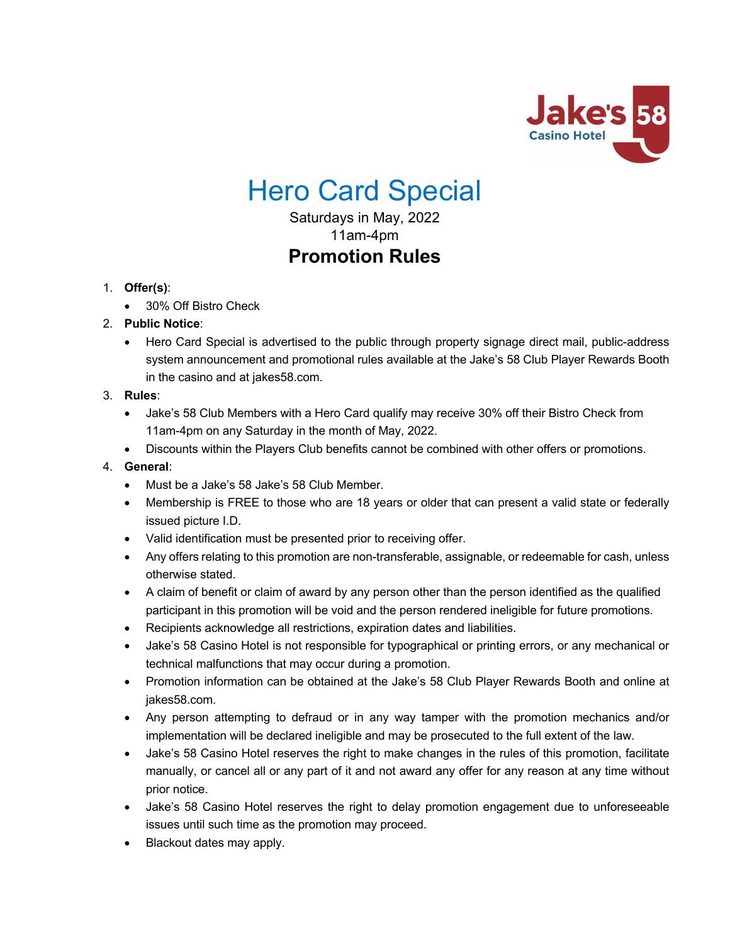

# Hero Card Special

Saturdays in May, 2022 11am-4pm **Promotion Rules**

# 1. **Offer(s)**:

• 30% Off Bistro Check

# 2. **Public Notice**:

• Hero Card Special is advertised to the public through property signage direct mail, public-address system announcement and promotional rules available at the Jake's 58 Club Player Rewards Booth in the casino and at jakes58.com.

#### 3. **Rules**:

- Jake's 58 Club Members with a Hero Card qualify may receive 30% off their Bistro Check from 11am-4pm on any Saturday in the month of May, 2022.
- Discounts within the Players Club benefits cannot be combined with other offers or promotions.

### 4. **General**:

- Must be a Jake's 58 Jake's 58 Club Member.
- Membership is FREE to those who are 18 years or older that can present a valid state or federally issued picture I.D.
- Valid identification must be presented prior to receiving offer.
- Any offers relating to this promotion are non-transferable, assignable, or redeemable for cash, unless otherwise stated.
- A claim of benefit or claim of award by any person other than the person identified as the qualified participant in this promotion will be void and the person rendered ineligible for future promotions.
- Recipients acknowledge all restrictions, expiration dates and liabilities.
- Jake's 58 Casino Hotel is not responsible for typographical or printing errors, or any mechanical or technical malfunctions that may occur during a promotion.
- Promotion information can be obtained at the Jake's 58 Club Player Rewards Booth and online at jakes58.com.
- Any person attempting to defraud or in any way tamper with the promotion mechanics and/or implementation will be declared ineligible and may be prosecuted to the full extent of the law.
- Jake's 58 Casino Hotel reserves the right to make changes in the rules of this promotion, facilitate manually, or cancel all or any part of it and not award any offer for any reason at any time without prior notice.
- Jake's 58 Casino Hotel reserves the right to delay promotion engagement due to unforeseeable issues until such time as the promotion may proceed.
- Blackout dates may apply.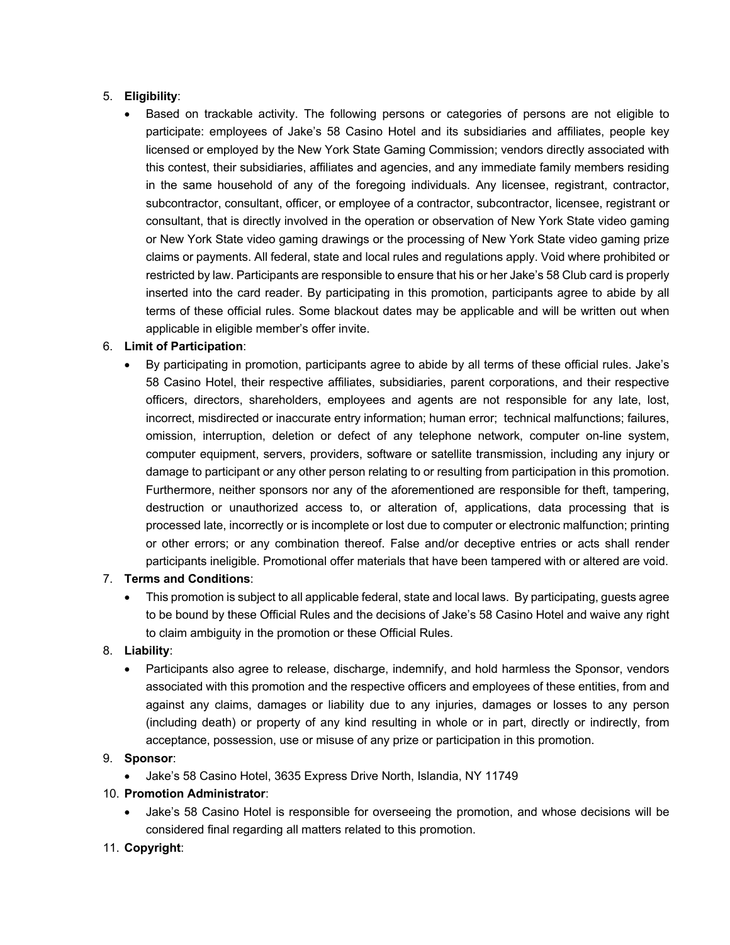## 5. **Eligibility**:

• Based on trackable activity. The following persons or categories of persons are not eligible to participate: employees of Jake's 58 Casino Hotel and its subsidiaries and affiliates, people key licensed or employed by the New York State Gaming Commission; vendors directly associated with this contest, their subsidiaries, affiliates and agencies, and any immediate family members residing in the same household of any of the foregoing individuals. Any licensee, registrant, contractor, subcontractor, consultant, officer, or employee of a contractor, subcontractor, licensee, registrant or consultant, that is directly involved in the operation or observation of New York State video gaming or New York State video gaming drawings or the processing of New York State video gaming prize claims or payments. All federal, state and local rules and regulations apply. Void where prohibited or restricted by law. Participants are responsible to ensure that his or her Jake's 58 Club card is properly inserted into the card reader. By participating in this promotion, participants agree to abide by all terms of these official rules. Some blackout dates may be applicable and will be written out when applicable in eligible member's offer invite.

#### 6. **Limit of Participation**:

• By participating in promotion, participants agree to abide by all terms of these official rules. Jake's 58 Casino Hotel, their respective affiliates, subsidiaries, parent corporations, and their respective officers, directors, shareholders, employees and agents are not responsible for any late, lost, incorrect, misdirected or inaccurate entry information; human error; technical malfunctions; failures, omission, interruption, deletion or defect of any telephone network, computer on-line system, computer equipment, servers, providers, software or satellite transmission, including any injury or damage to participant or any other person relating to or resulting from participation in this promotion. Furthermore, neither sponsors nor any of the aforementioned are responsible for theft, tampering, destruction or unauthorized access to, or alteration of, applications, data processing that is processed late, incorrectly or is incomplete or lost due to computer or electronic malfunction; printing or other errors; or any combination thereof. False and/or deceptive entries or acts shall render participants ineligible. Promotional offer materials that have been tampered with or altered are void.

#### 7. **Terms and Conditions**:

• This promotion is subject to all applicable federal, state and local laws. By participating, guests agree to be bound by these Official Rules and the decisions of Jake's 58 Casino Hotel and waive any right to claim ambiguity in the promotion or these Official Rules.

#### 8. **Liability**:

• Participants also agree to release, discharge, indemnify, and hold harmless the Sponsor, vendors associated with this promotion and the respective officers and employees of these entities, from and against any claims, damages or liability due to any injuries, damages or losses to any person (including death) or property of any kind resulting in whole or in part, directly or indirectly, from acceptance, possession, use or misuse of any prize or participation in this promotion.

#### 9. **Sponsor**:

• Jake's 58 Casino Hotel, 3635 Express Drive North, Islandia, NY 11749

#### 10. **Promotion Administrator**:

• Jake's 58 Casino Hotel is responsible for overseeing the promotion, and whose decisions will be considered final regarding all matters related to this promotion.

#### 11. **Copyright**: